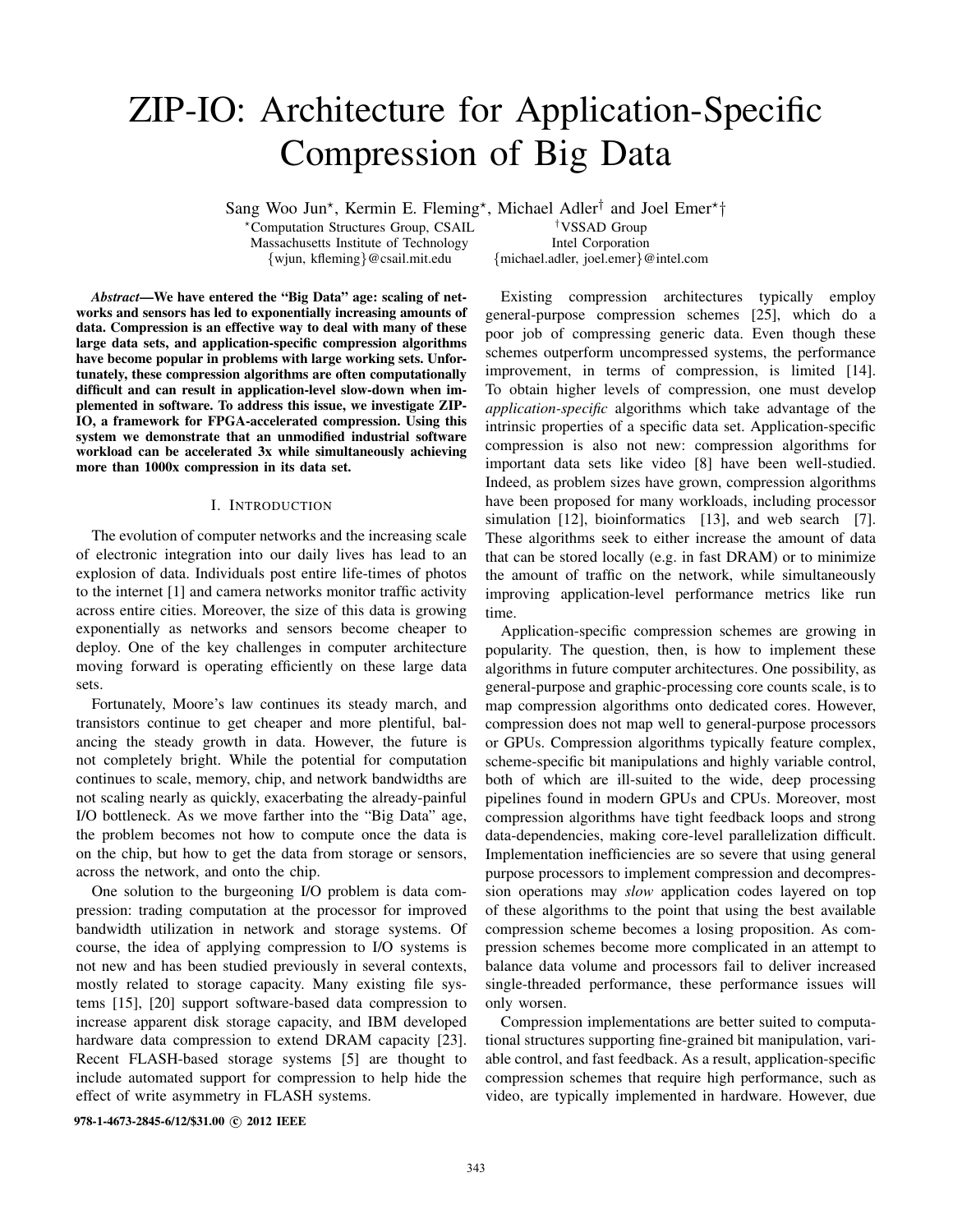# ZIP-IO: Architecture for Application-Specific Compression of Big Data

Sang Woo Jun<sup>\*</sup>, Kermin E. Fleming<sup>\*</sup>, Michael Adler<sup>†</sup> and Joel Emer<sup>\*</sup>†

\*Computation Structures Group, CSAIL  $\qquad \qquad$ <sup>†</sup>VSSAD Group<br>Massachusetts Institute of Technology Intel Corporation Massachusetts Institute of Technology<br>
{wjun, kfleming}@csail.mit.edu

{michael.adler, joel.emer}@intel.com

*Abstract*—We have entered the "Big Data" age: scaling of networks and sensors has led to exponentially increasing amounts of data. Compression is an effective way to deal with many of these large data sets, and application-specific compression algorithms have become popular in problems with large working sets. Unfortunately, these compression algorithms are often computationally difficult and can result in application-level slow-down when implemented in software. To address this issue, we investigate ZIP-IO, a framework for FPGA-accelerated compression. Using this system we demonstrate that an unmodified industrial software workload can be accelerated 3x while simultaneously achieving more than 1000x compression in its data set.

## I. INTRODUCTION

The evolution of computer networks and the increasing scale of electronic integration into our daily lives has lead to an explosion of data. Individuals post entire life-times of photos to the internet [1] and camera networks monitor traffic activity across entire cities. Moreover, the size of this data is growing exponentially as networks and sensors become cheaper to deploy. One of the key challenges in computer architecture moving forward is operating efficiently on these large data sets.

Fortunately, Moore's law continues its steady march, and transistors continue to get cheaper and more plentiful, balancing the steady growth in data. However, the future is not completely bright. While the potential for computation continues to scale, memory, chip, and network bandwidths are not scaling nearly as quickly, exacerbating the already-painful I/O bottleneck. As we move farther into the "Big Data" age, the problem becomes not how to compute once the data is on the chip, but how to get the data from storage or sensors, across the network, and onto the chip.

One solution to the burgeoning I/O problem is data compression: trading computation at the processor for improved bandwidth utilization in network and storage systems. Of course, the idea of applying compression to I/O systems is not new and has been studied previously in several contexts, mostly related to storage capacity. Many existing file systems [15], [20] support software-based data compression to increase apparent disk storage capacity, and IBM developed hardware data compression to extend DRAM capacity [23]. Recent FLASH-based storage systems [5] are thought to include automated support for compression to help hide the effect of write asymmetry in FLASH systems.

general-purpose compression schemes [25], which do a poor job of compressing generic data. Even though these schemes outperform uncompressed systems, the performance improvement, in terms of compression, is limited [14]. To obtain higher levels of compression, one must develop *application-specific* algorithms which take advantage of the intrinsic properties of a specific data set. Application-specific compression is also not new: compression algorithms for important data sets like video [8] have been well-studied. Indeed, as problem sizes have grown, compression algorithms have been proposed for many workloads, including processor simulation [12], bioinformatics [13], and web search [7]. These algorithms seek to either increase the amount of data that can be stored locally (e.g. in fast DRAM) or to minimize the amount of traffic on the network, while simultaneously improving application-level performance metrics like run time.

Existing compression architectures typically employ

Application-specific compression schemes are growing in popularity. The question, then, is how to implement these algorithms in future computer architectures. One possibility, as general-purpose and graphic-processing core counts scale, is to map compression algorithms onto dedicated cores. However, compression does not map well to general-purpose processors or GPUs. Compression algorithms typically feature complex, scheme-specific bit manipulations and highly variable control, both of which are ill-suited to the wide, deep processing pipelines found in modern GPUs and CPUs. Moreover, most compression algorithms have tight feedback loops and strong data-dependencies, making core-level parallelization difficult. Implementation inefficiencies are so severe that using general purpose processors to implement compression and decompression operations may *slow* application codes layered on top of these algorithms to the point that using the best available compression scheme becomes a losing proposition. As compression schemes become more complicated in an attempt to balance data volume and processors fail to deliver increased single-threaded performance, these performance issues will only worsen.

Compression implementations are better suited to computational structures supporting fine-grained bit manipulation, variable control, and fast feedback. As a result, application-specific compression schemes that require high performance, such as video, are typically implemented in hardware. However, due

978-1-4673-2845-6/12/\$31.00 © 2012 IEEE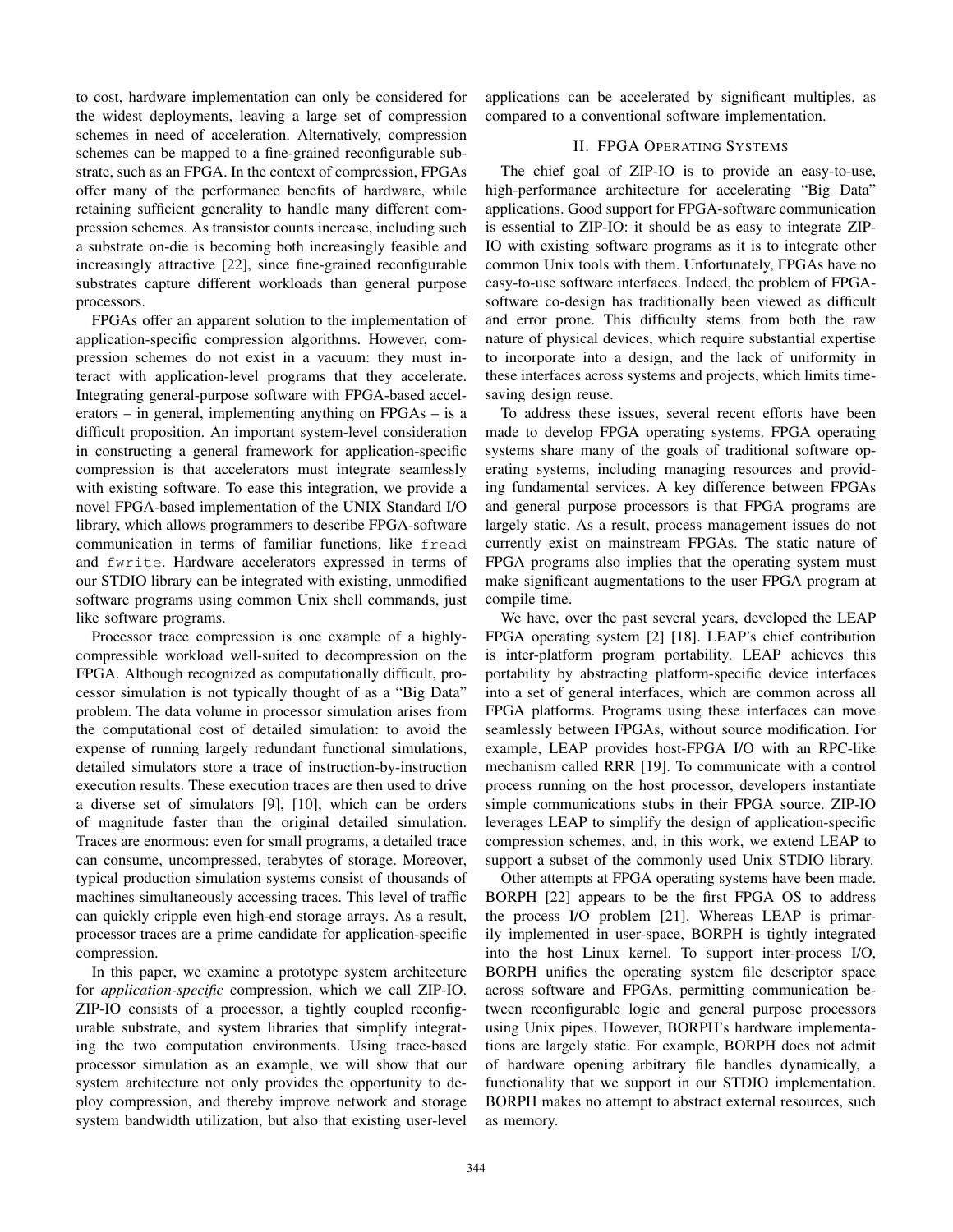to cost, hardware implementation can only be considered for the widest deployments, leaving a large set of compression schemes in need of acceleration. Alternatively, compression schemes can be mapped to a fine-grained reconfigurable substrate, such as an FPGA. In the context of compression, FPGAs offer many of the performance benefits of hardware, while retaining sufficient generality to handle many different compression schemes. As transistor counts increase, including such a substrate on-die is becoming both increasingly feasible and increasingly attractive [22], since fine-grained reconfigurable substrates capture different workloads than general purpose processors.

FPGAs offer an apparent solution to the implementation of application-specific compression algorithms. However, compression schemes do not exist in a vacuum: they must interact with application-level programs that they accelerate. Integrating general-purpose software with FPGA-based accelerators – in general, implementing anything on FPGAs – is a difficult proposition. An important system-level consideration in constructing a general framework for application-specific compression is that accelerators must integrate seamlessly with existing software. To ease this integration, we provide a novel FPGA-based implementation of the UNIX Standard I/O library, which allows programmers to describe FPGA-software communication in terms of familiar functions, like fread and fwrite. Hardware accelerators expressed in terms of our STDIO library can be integrated with existing, unmodified software programs using common Unix shell commands, just like software programs.

Processor trace compression is one example of a highlycompressible workload well-suited to decompression on the FPGA. Although recognized as computationally difficult, processor simulation is not typically thought of as a "Big Data" problem. The data volume in processor simulation arises from the computational cost of detailed simulation: to avoid the expense of running largely redundant functional simulations, detailed simulators store a trace of instruction-by-instruction execution results. These execution traces are then used to drive a diverse set of simulators [9], [10], which can be orders of magnitude faster than the original detailed simulation. Traces are enormous: even for small programs, a detailed trace can consume, uncompressed, terabytes of storage. Moreover, typical production simulation systems consist of thousands of machines simultaneously accessing traces. This level of traffic can quickly cripple even high-end storage arrays. As a result, processor traces are a prime candidate for application-specific compression.

In this paper, we examine a prototype system architecture for *application-specific* compression, which we call ZIP-IO. ZIP-IO consists of a processor, a tightly coupled reconfigurable substrate, and system libraries that simplify integrating the two computation environments. Using trace-based processor simulation as an example, we will show that our system architecture not only provides the opportunity to deploy compression, and thereby improve network and storage system bandwidth utilization, but also that existing user-level applications can be accelerated by significant multiples, as compared to a conventional software implementation.

# II. FPGA OPERATING SYSTEMS

The chief goal of ZIP-IO is to provide an easy-to-use, high-performance architecture for accelerating "Big Data" applications. Good support for FPGA-software communication is essential to ZIP-IO: it should be as easy to integrate ZIP-IO with existing software programs as it is to integrate other common Unix tools with them. Unfortunately, FPGAs have no easy-to-use software interfaces. Indeed, the problem of FPGAsoftware co-design has traditionally been viewed as difficult and error prone. This difficulty stems from both the raw nature of physical devices, which require substantial expertise to incorporate into a design, and the lack of uniformity in these interfaces across systems and projects, which limits timesaving design reuse.

To address these issues, several recent efforts have been made to develop FPGA operating systems. FPGA operating systems share many of the goals of traditional software operating systems, including managing resources and providing fundamental services. A key difference between FPGAs and general purpose processors is that FPGA programs are largely static. As a result, process management issues do not currently exist on mainstream FPGAs. The static nature of FPGA programs also implies that the operating system must make significant augmentations to the user FPGA program at compile time.

We have, over the past several years, developed the LEAP FPGA operating system [2] [18]. LEAP's chief contribution is inter-platform program portability. LEAP achieves this portability by abstracting platform-specific device interfaces into a set of general interfaces, which are common across all FPGA platforms. Programs using these interfaces can move seamlessly between FPGAs, without source modification. For example, LEAP provides host-FPGA I/O with an RPC-like mechanism called RRR [19]. To communicate with a control process running on the host processor, developers instantiate simple communications stubs in their FPGA source. ZIP-IO leverages LEAP to simplify the design of application-specific compression schemes, and, in this work, we extend LEAP to support a subset of the commonly used Unix STDIO library.

Other attempts at FPGA operating systems have been made. BORPH [22] appears to be the first FPGA OS to address the process I/O problem [21]. Whereas LEAP is primarily implemented in user-space, BORPH is tightly integrated into the host Linux kernel. To support inter-process I/O, BORPH unifies the operating system file descriptor space across software and FPGAs, permitting communication between reconfigurable logic and general purpose processors using Unix pipes. However, BORPH's hardware implementations are largely static. For example, BORPH does not admit of hardware opening arbitrary file handles dynamically, a functionality that we support in our STDIO implementation. BORPH makes no attempt to abstract external resources, such as memory.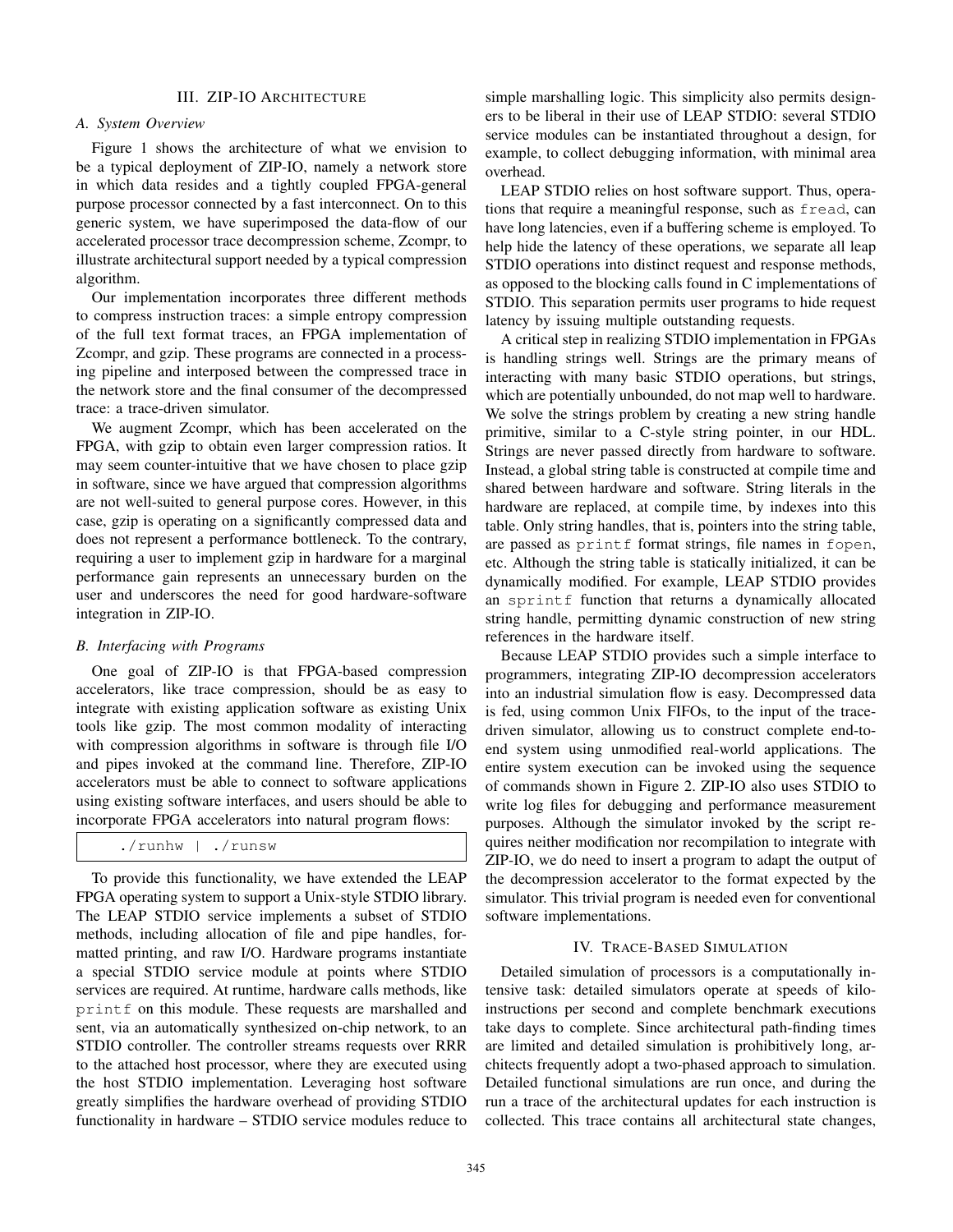#### III. ZIP-IO ARCHITECTURE

## *A. System Overview*

Figure 1 shows the architecture of what we envision to be a typical deployment of ZIP-IO, namely a network store in which data resides and a tightly coupled FPGA-general purpose processor connected by a fast interconnect. On to this generic system, we have superimposed the data-flow of our accelerated processor trace decompression scheme, Zcompr, to illustrate architectural support needed by a typical compression algorithm.

Our implementation incorporates three different methods to compress instruction traces: a simple entropy compression of the full text format traces, an FPGA implementation of Zcompr, and gzip. These programs are connected in a processing pipeline and interposed between the compressed trace in the network store and the final consumer of the decompressed trace: a trace-driven simulator.

We augment Zcompr, which has been accelerated on the FPGA, with gzip to obtain even larger compression ratios. It may seem counter-intuitive that we have chosen to place gzip in software, since we have argued that compression algorithms are not well-suited to general purpose cores. However, in this case, gzip is operating on a significantly compressed data and does not represent a performance bottleneck. To the contrary, requiring a user to implement gzip in hardware for a marginal performance gain represents an unnecessary burden on the user and underscores the need for good hardware-software integration in ZIP-IO.

## *B. Interfacing with Programs*

One goal of ZIP-IO is that FPGA-based compression accelerators, like trace compression, should be as easy to integrate with existing application software as existing Unix tools like gzip. The most common modality of interacting with compression algorithms in software is through file I/O and pipes invoked at the command line. Therefore, ZIP-IO accelerators must be able to connect to software applications using existing software interfaces, and users should be able to incorporate FPGA accelerators into natural program flows:

| $./$ runhw | ./runsw |
|------------|---------|
|------------|---------|

To provide this functionality, we have extended the LEAP FPGA operating system to support a Unix-style STDIO library. The LEAP STDIO service implements a subset of STDIO methods, including allocation of file and pipe handles, formatted printing, and raw I/O. Hardware programs instantiate a special STDIO service module at points where STDIO services are required. At runtime, hardware calls methods, like printf on this module. These requests are marshalled and sent, via an automatically synthesized on-chip network, to an STDIO controller. The controller streams requests over RRR to the attached host processor, where they are executed using the host STDIO implementation. Leveraging host software greatly simplifies the hardware overhead of providing STDIO functionality in hardware – STDIO service modules reduce to

simple marshalling logic. This simplicity also permits designers to be liberal in their use of LEAP STDIO: several STDIO service modules can be instantiated throughout a design, for example, to collect debugging information, with minimal area overhead.

LEAP STDIO relies on host software support. Thus, operations that require a meaningful response, such as fread, can have long latencies, even if a buffering scheme is employed. To help hide the latency of these operations, we separate all leap STDIO operations into distinct request and response methods, as opposed to the blocking calls found in C implementations of STDIO. This separation permits user programs to hide request latency by issuing multiple outstanding requests.

A critical step in realizing STDIO implementation in FPGAs is handling strings well. Strings are the primary means of interacting with many basic STDIO operations, but strings, which are potentially unbounded, do not map well to hardware. We solve the strings problem by creating a new string handle primitive, similar to a C-style string pointer, in our HDL. Strings are never passed directly from hardware to software. Instead, a global string table is constructed at compile time and shared between hardware and software. String literals in the hardware are replaced, at compile time, by indexes into this table. Only string handles, that is, pointers into the string table, are passed as printf format strings, file names in fopen, etc. Although the string table is statically initialized, it can be dynamically modified. For example, LEAP STDIO provides an sprintf function that returns a dynamically allocated string handle, permitting dynamic construction of new string references in the hardware itself.

Because LEAP STDIO provides such a simple interface to programmers, integrating ZIP-IO decompression accelerators into an industrial simulation flow is easy. Decompressed data is fed, using common Unix FIFOs, to the input of the tracedriven simulator, allowing us to construct complete end-toend system using unmodified real-world applications. The entire system execution can be invoked using the sequence of commands shown in Figure 2. ZIP-IO also uses STDIO to write log files for debugging and performance measurement purposes. Although the simulator invoked by the script requires neither modification nor recompilation to integrate with ZIP-IO, we do need to insert a program to adapt the output of the decompression accelerator to the format expected by the simulator. This trivial program is needed even for conventional software implementations.

## IV. TRACE-BASED SIMULATION

Detailed simulation of processors is a computationally intensive task: detailed simulators operate at speeds of kiloinstructions per second and complete benchmark executions take days to complete. Since architectural path-finding times are limited and detailed simulation is prohibitively long, architects frequently adopt a two-phased approach to simulation. Detailed functional simulations are run once, and during the run a trace of the architectural updates for each instruction is collected. This trace contains all architectural state changes,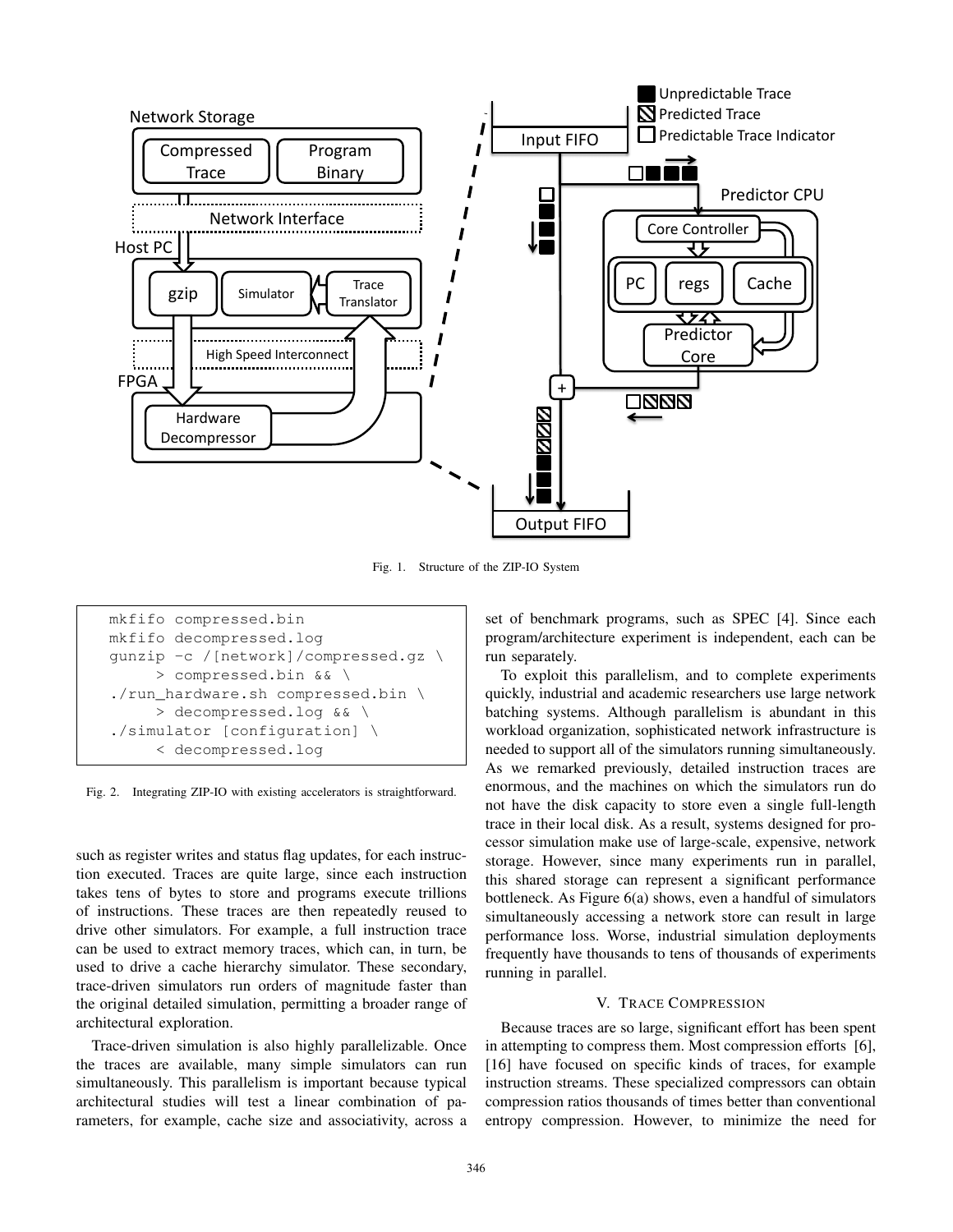

Fig. 1. Structure of the ZIP-IO System

```
mkfifo compressed.bin
mkfifo decompressed.log
gunzip -c /[network]/compressed.gz \
     > compressed.bin && \
./run_hardware.sh compressed.bin \
     > decompressed.log && \
./simulator [configuration] \
     < decompressed.log
```
Fig. 2. Integrating ZIP-IO with existing accelerators is straightforward.

such as register writes and status flag updates, for each instruction executed. Traces are quite large, since each instruction takes tens of bytes to store and programs execute trillions of instructions. These traces are then repeatedly reused to drive other simulators. For example, a full instruction trace can be used to extract memory traces, which can, in turn, be used to drive a cache hierarchy simulator. These secondary, trace-driven simulators run orders of magnitude faster than the original detailed simulation, permitting a broader range of architectural exploration.

Trace-driven simulation is also highly parallelizable. Once the traces are available, many simple simulators can run simultaneously. This parallelism is important because typical architectural studies will test a linear combination of parameters, for example, cache size and associativity, across a

set of benchmark programs, such as SPEC [4]. Since each program/architecture experiment is independent, each can be run separately.

To exploit this parallelism, and to complete experiments quickly, industrial and academic researchers use large network batching systems. Although parallelism is abundant in this workload organization, sophisticated network infrastructure is needed to support all of the simulators running simultaneously. As we remarked previously, detailed instruction traces are enormous, and the machines on which the simulators run do not have the disk capacity to store even a single full-length trace in their local disk. As a result, systems designed for processor simulation make use of large-scale, expensive, network storage. However, since many experiments run in parallel, this shared storage can represent a significant performance bottleneck. As Figure 6(a) shows, even a handful of simulators simultaneously accessing a network store can result in large performance loss. Worse, industrial simulation deployments frequently have thousands to tens of thousands of experiments running in parallel.

# V. TRACE COMPRESSION

Because traces are so large, significant effort has been spent in attempting to compress them. Most compression efforts [6], [16] have focused on specific kinds of traces, for example instruction streams. These specialized compressors can obtain compression ratios thousands of times better than conventional entropy compression. However, to minimize the need for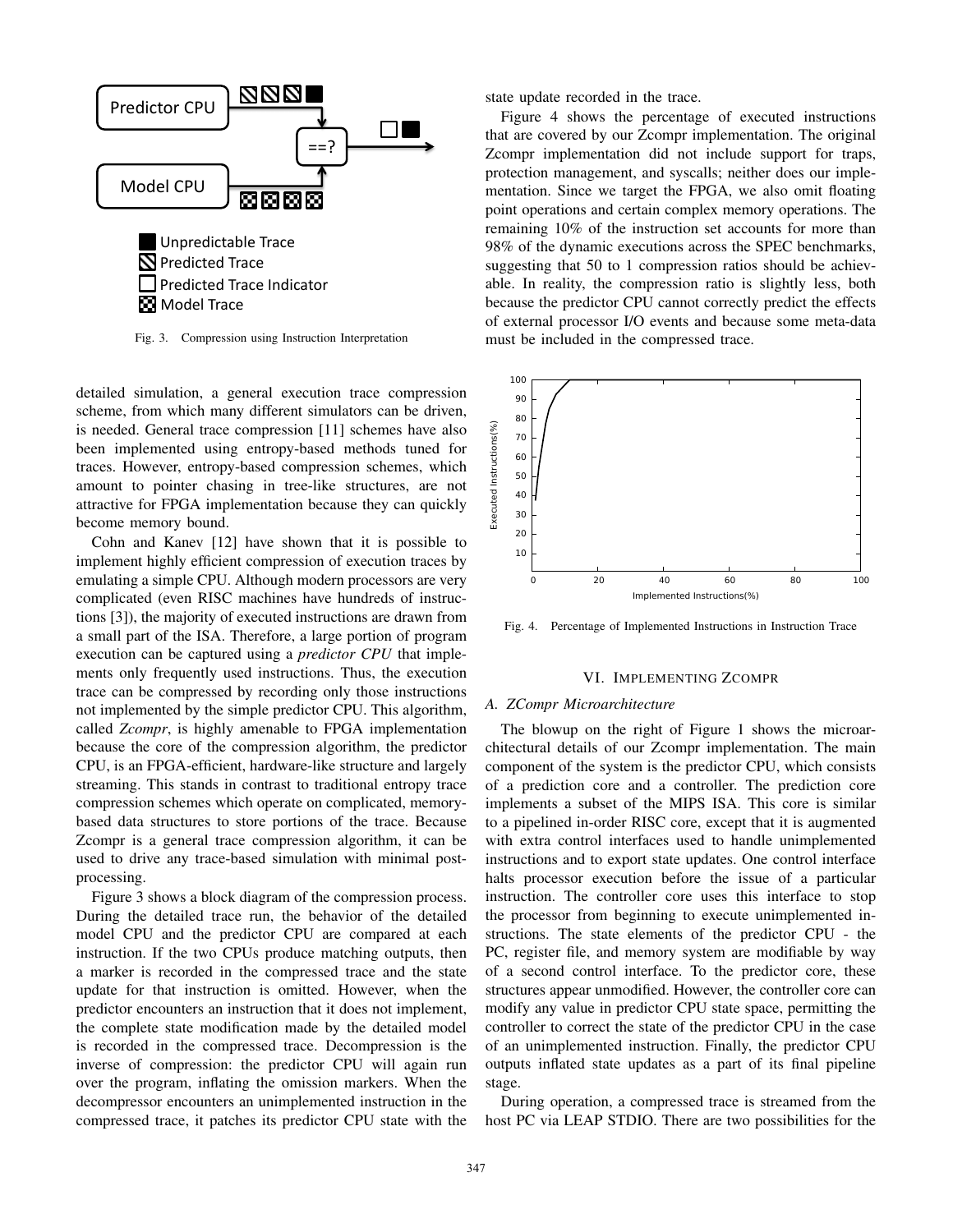

Fig. 3. Compression using Instruction Interpretation

detailed simulation, a general execution trace compression scheme, from which many different simulators can be driven, is needed. General trace compression [11] schemes have also been implemented using entropy-based methods tuned for traces. However, entropy-based compression schemes, which amount to pointer chasing in tree-like structures, are not attractive for FPGA implementation because they can quickly become memory bound.

Cohn and Kanev [12] have shown that it is possible to implement highly efficient compression of execution traces by emulating a simple CPU. Although modern processors are very complicated (even RISC machines have hundreds of instructions [3]), the majority of executed instructions are drawn from a small part of the ISA. Therefore, a large portion of program execution can be captured using a *predictor CPU* that implements only frequently used instructions. Thus, the execution trace can be compressed by recording only those instructions not implemented by the simple predictor CPU. This algorithm, called *Zcompr*, is highly amenable to FPGA implementation because the core of the compression algorithm, the predictor CPU, is an FPGA-efficient, hardware-like structure and largely streaming. This stands in contrast to traditional entropy trace compression schemes which operate on complicated, memorybased data structures to store portions of the trace. Because Zcompr is a general trace compression algorithm, it can be used to drive any trace-based simulation with minimal postprocessing.

Figure 3 shows a block diagram of the compression process. During the detailed trace run, the behavior of the detailed model CPU and the predictor CPU are compared at each instruction. If the two CPUs produce matching outputs, then a marker is recorded in the compressed trace and the state update for that instruction is omitted. However, when the predictor encounters an instruction that it does not implement, the complete state modification made by the detailed model is recorded in the compressed trace. Decompression is the inverse of compression: the predictor CPU will again run over the program, inflating the omission markers. When the decompressor encounters an unimplemented instruction in the compressed trace, it patches its predictor CPU state with the state update recorded in the trace.

Figure 4 shows the percentage of executed instructions that are covered by our Zcompr implementation. The original Zcompr implementation did not include support for traps, protection management, and syscalls; neither does our implementation. Since we target the FPGA, we also omit floating point operations and certain complex memory operations. The remaining 10% of the instruction set accounts for more than 98% of the dynamic executions across the SPEC benchmarks, suggesting that 50 to 1 compression ratios should be achievable. In reality, the compression ratio is slightly less, both because the predictor CPU cannot correctly predict the effects of external processor I/O events and because some meta-data must be included in the compressed trace.



Fig. 4. Percentage of Implemented Instructions in Instruction Trace

#### VI. IMPLEMENTING ZCOMPR

#### *A. ZCompr Microarchitecture*

The blowup on the right of Figure 1 shows the microarchitectural details of our Zcompr implementation. The main component of the system is the predictor CPU, which consists of a prediction core and a controller. The prediction core implements a subset of the MIPS ISA. This core is similar to a pipelined in-order RISC core, except that it is augmented with extra control interfaces used to handle unimplemented instructions and to export state updates. One control interface halts processor execution before the issue of a particular instruction. The controller core uses this interface to stop the processor from beginning to execute unimplemented instructions. The state elements of the predictor CPU - the PC, register file, and memory system are modifiable by way of a second control interface. To the predictor core, these structures appear unmodified. However, the controller core can modify any value in predictor CPU state space, permitting the controller to correct the state of the predictor CPU in the case of an unimplemented instruction. Finally, the predictor CPU outputs inflated state updates as a part of its final pipeline stage.

During operation, a compressed trace is streamed from the host PC via LEAP STDIO. There are two possibilities for the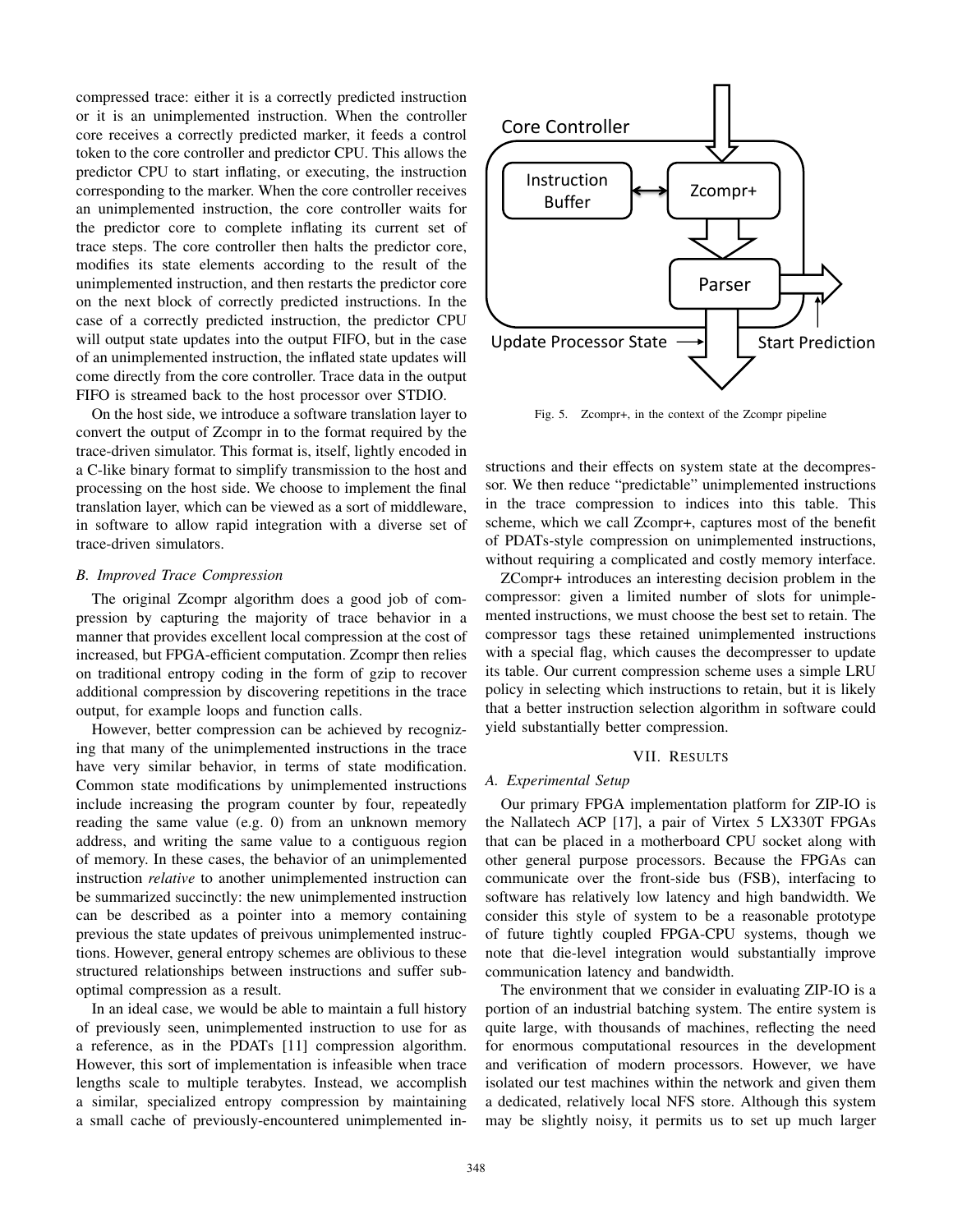compressed trace: either it is a correctly predicted instruction or it is an unimplemented instruction. When the controller core receives a correctly predicted marker, it feeds a control token to the core controller and predictor CPU. This allows the predictor CPU to start inflating, or executing, the instruction corresponding to the marker. When the core controller receives an unimplemented instruction, the core controller waits for the predictor core to complete inflating its current set of trace steps. The core controller then halts the predictor core, modifies its state elements according to the result of the unimplemented instruction, and then restarts the predictor core on the next block of correctly predicted instructions. In the case of a correctly predicted instruction, the predictor CPU will output state updates into the output FIFO, but in the case of an unimplemented instruction, the inflated state updates will come directly from the core controller. Trace data in the output FIFO is streamed back to the host processor over STDIO.

On the host side, we introduce a software translation layer to convert the output of Zcompr in to the format required by the trace-driven simulator. This format is, itself, lightly encoded in a C-like binary format to simplify transmission to the host and processing on the host side. We choose to implement the final translation layer, which can be viewed as a sort of middleware, in software to allow rapid integration with a diverse set of trace-driven simulators.

## *B. Improved Trace Compression*

The original Zcompr algorithm does a good job of compression by capturing the majority of trace behavior in a manner that provides excellent local compression at the cost of increased, but FPGA-efficient computation. Zcompr then relies on traditional entropy coding in the form of gzip to recover additional compression by discovering repetitions in the trace output, for example loops and function calls.

However, better compression can be achieved by recognizing that many of the unimplemented instructions in the trace have very similar behavior, in terms of state modification. Common state modifications by unimplemented instructions include increasing the program counter by four, repeatedly reading the same value (e.g. 0) from an unknown memory address, and writing the same value to a contiguous region of memory. In these cases, the behavior of an unimplemented instruction *relative* to another unimplemented instruction can be summarized succinctly: the new unimplemented instruction can be described as a pointer into a memory containing previous the state updates of preivous unimplemented instructions. However, general entropy schemes are oblivious to these structured relationships between instructions and suffer suboptimal compression as a result.

In an ideal case, we would be able to maintain a full history of previously seen, unimplemented instruction to use for as a reference, as in the PDATs [11] compression algorithm. However, this sort of implementation is infeasible when trace lengths scale to multiple terabytes. Instead, we accomplish a similar, specialized entropy compression by maintaining a small cache of previously-encountered unimplemented in-



Fig. 5. Zcompr+, in the context of the Zcompr pipeline

structions and their effects on system state at the decompressor. We then reduce "predictable" unimplemented instructions in the trace compression to indices into this table. This scheme, which we call Zcompr+, captures most of the benefit of PDATs-style compression on unimplemented instructions, without requiring a complicated and costly memory interface.

ZCompr+ introduces an interesting decision problem in the compressor: given a limited number of slots for unimplemented instructions, we must choose the best set to retain. The compressor tags these retained unimplemented instructions with a special flag, which causes the decompresser to update its table. Our current compression scheme uses a simple LRU policy in selecting which instructions to retain, but it is likely that a better instruction selection algorithm in software could yield substantially better compression.

## VII. RESULTS

# *A. Experimental Setup*

Our primary FPGA implementation platform for ZIP-IO is the Nallatech ACP [17], a pair of Virtex 5 LX330T FPGAs that can be placed in a motherboard CPU socket along with other general purpose processors. Because the FPGAs can communicate over the front-side bus (FSB), interfacing to software has relatively low latency and high bandwidth. We consider this style of system to be a reasonable prototype of future tightly coupled FPGA-CPU systems, though we note that die-level integration would substantially improve communication latency and bandwidth.

The environment that we consider in evaluating ZIP-IO is a portion of an industrial batching system. The entire system is quite large, with thousands of machines, reflecting the need for enormous computational resources in the development and verification of modern processors. However, we have isolated our test machines within the network and given them a dedicated, relatively local NFS store. Although this system may be slightly noisy, it permits us to set up much larger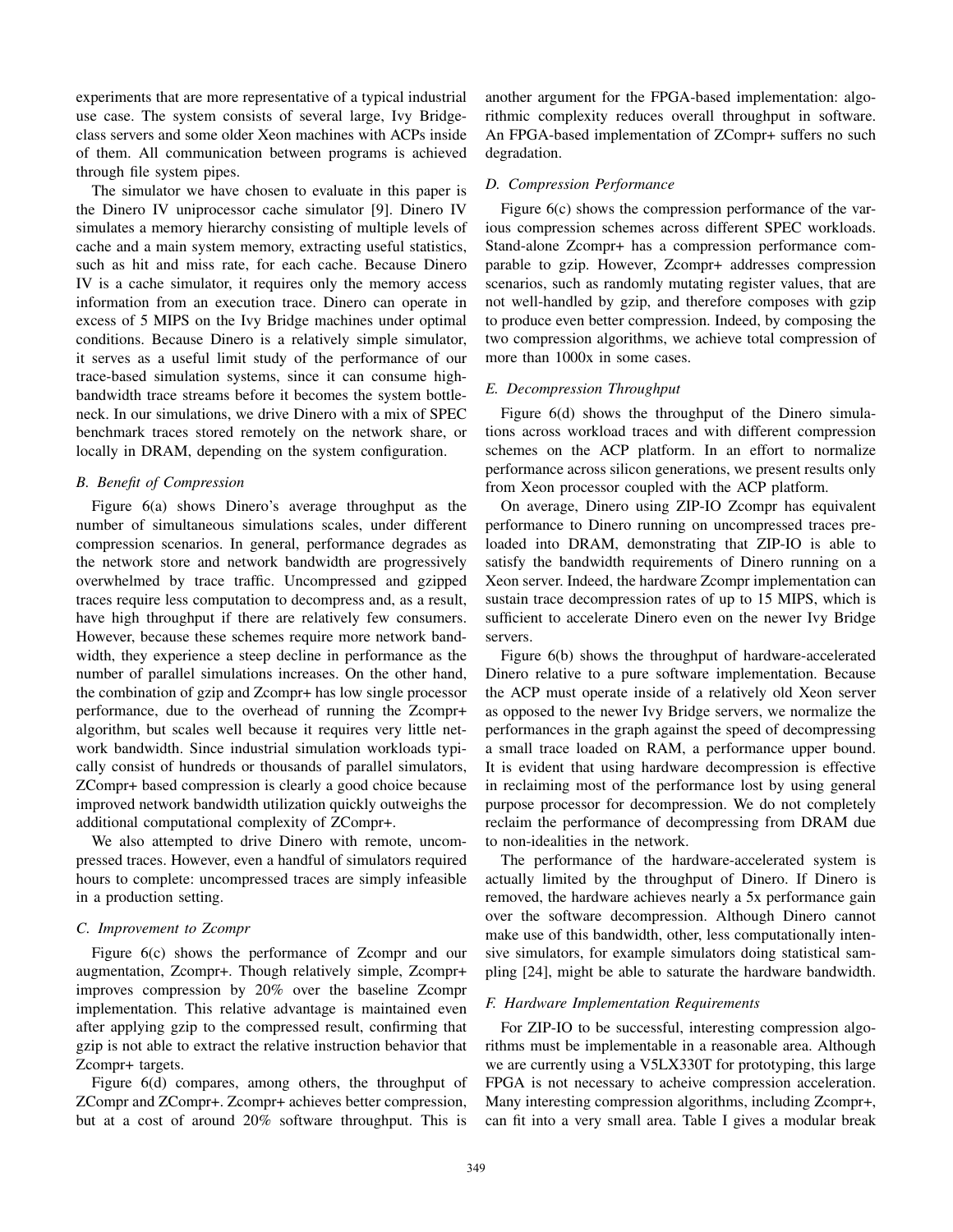experiments that are more representative of a typical industrial use case. The system consists of several large, Ivy Bridgeclass servers and some older Xeon machines with ACPs inside of them. All communication between programs is achieved through file system pipes.

The simulator we have chosen to evaluate in this paper is the Dinero IV uniprocessor cache simulator [9]. Dinero IV simulates a memory hierarchy consisting of multiple levels of cache and a main system memory, extracting useful statistics, such as hit and miss rate, for each cache. Because Dinero IV is a cache simulator, it requires only the memory access information from an execution trace. Dinero can operate in excess of 5 MIPS on the Ivy Bridge machines under optimal conditions. Because Dinero is a relatively simple simulator, it serves as a useful limit study of the performance of our trace-based simulation systems, since it can consume highbandwidth trace streams before it becomes the system bottleneck. In our simulations, we drive Dinero with a mix of SPEC benchmark traces stored remotely on the network share, or locally in DRAM, depending on the system configuration.

## *B. Benefit of Compression*

Figure 6(a) shows Dinero's average throughput as the number of simultaneous simulations scales, under different compression scenarios. In general, performance degrades as the network store and network bandwidth are progressively overwhelmed by trace traffic. Uncompressed and gzipped traces require less computation to decompress and, as a result, have high throughput if there are relatively few consumers. However, because these schemes require more network bandwidth, they experience a steep decline in performance as the number of parallel simulations increases. On the other hand, the combination of gzip and Zcompr+ has low single processor performance, due to the overhead of running the Zcompr+ algorithm, but scales well because it requires very little network bandwidth. Since industrial simulation workloads typically consist of hundreds or thousands of parallel simulators, ZCompr+ based compression is clearly a good choice because improved network bandwidth utilization quickly outweighs the additional computational complexity of ZCompr+.

We also attempted to drive Dinero with remote, uncompressed traces. However, even a handful of simulators required hours to complete: uncompressed traces are simply infeasible in a production setting.

## *C. Improvement to Zcompr*

Figure 6(c) shows the performance of Zcompr and our augmentation, Zcompr+. Though relatively simple, Zcompr+ improves compression by 20% over the baseline Zcompr implementation. This relative advantage is maintained even after applying gzip to the compressed result, confirming that gzip is not able to extract the relative instruction behavior that Zcompr+ targets.

Figure 6(d) compares, among others, the throughput of ZCompr and ZCompr+. Zcompr+ achieves better compression, but at a cost of around 20% software throughput. This is another argument for the FPGA-based implementation: algorithmic complexity reduces overall throughput in software. An FPGA-based implementation of ZCompr+ suffers no such degradation.

#### *D. Compression Performance*

Figure 6(c) shows the compression performance of the various compression schemes across different SPEC workloads. Stand-alone Zcompr+ has a compression performance comparable to gzip. However, Zcompr+ addresses compression scenarios, such as randomly mutating register values, that are not well-handled by gzip, and therefore composes with gzip to produce even better compression. Indeed, by composing the two compression algorithms, we achieve total compression of more than 1000x in some cases.

#### *E. Decompression Throughput*

Figure 6(d) shows the throughput of the Dinero simulations across workload traces and with different compression schemes on the ACP platform. In an effort to normalize performance across silicon generations, we present results only from Xeon processor coupled with the ACP platform.

On average, Dinero using ZIP-IO Zcompr has equivalent performance to Dinero running on uncompressed traces preloaded into DRAM, demonstrating that ZIP-IO is able to satisfy the bandwidth requirements of Dinero running on a Xeon server. Indeed, the hardware Zcompr implementation can sustain trace decompression rates of up to 15 MIPS, which is sufficient to accelerate Dinero even on the newer Ivy Bridge servers.

Figure 6(b) shows the throughput of hardware-accelerated Dinero relative to a pure software implementation. Because the ACP must operate inside of a relatively old Xeon server as opposed to the newer Ivy Bridge servers, we normalize the performances in the graph against the speed of decompressing a small trace loaded on RAM, a performance upper bound. It is evident that using hardware decompression is effective in reclaiming most of the performance lost by using general purpose processor for decompression. We do not completely reclaim the performance of decompressing from DRAM due to non-idealities in the network.

The performance of the hardware-accelerated system is actually limited by the throughput of Dinero. If Dinero is removed, the hardware achieves nearly a 5x performance gain over the software decompression. Although Dinero cannot make use of this bandwidth, other, less computationally intensive simulators, for example simulators doing statistical sampling [24], might be able to saturate the hardware bandwidth.

## *F. Hardware Implementation Requirements*

For ZIP-IO to be successful, interesting compression algorithms must be implementable in a reasonable area. Although we are currently using a V5LX330T for prototyping, this large FPGA is not necessary to acheive compression acceleration. Many interesting compression algorithms, including Zcompr+, can fit into a very small area. Table I gives a modular break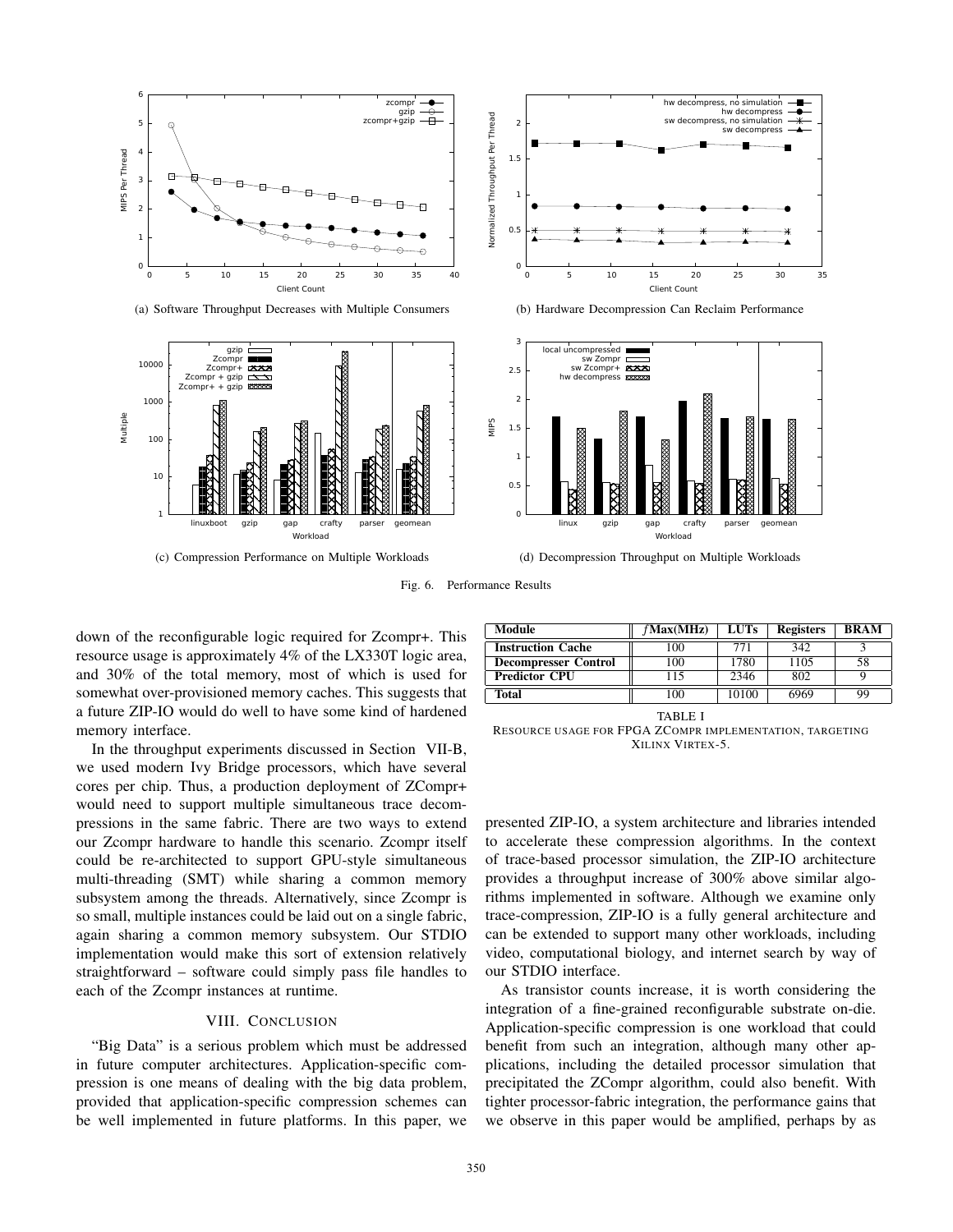

(a) Software Throughput Decreases with Multiple Consumers





(b) Hardware Decompression Can Reclaim Performance



(d) Decompression Throughput on Multiple Workloads

Fig. 6. Performance Results

down of the reconfigurable logic required for Zcompr+. This resource usage is approximately 4% of the LX330T logic area, and 30% of the total memory, most of which is used for somewhat over-provisioned memory caches. This suggests that a future ZIP-IO would do well to have some kind of hardened memory interface.

In the throughput experiments discussed in Section VII-B, we used modern Ivy Bridge processors, which have several cores per chip. Thus, a production deployment of ZCompr+ would need to support multiple simultaneous trace decompressions in the same fabric. There are two ways to extend our Zcompr hardware to handle this scenario. Zcompr itself could be re-architected to support GPU-style simultaneous multi-threading (SMT) while sharing a common memory subsystem among the threads. Alternatively, since Zcompr is so small, multiple instances could be laid out on a single fabric, again sharing a common memory subsystem. Our STDIO implementation would make this sort of extension relatively straightforward – software could simply pass file handles to each of the Zcompr instances at runtime.

#### VIII. CONCLUSION

"Big Data" is a serious problem which must be addressed in future computer architectures. Application-specific compression is one means of dealing with the big data problem, provided that application-specific compression schemes can be well implemented in future platforms. In this paper, we

| Module                      | $f$ Max $(MHz)$ | <b>LUTs</b> | <b>Registers</b> | <b>BRAM</b> |
|-----------------------------|-----------------|-------------|------------------|-------------|
| <b>Instruction Cache</b>    | 100             | 771         | 342              |             |
| <b>Decompresser Control</b> | 100             | 1780        | 1105             | 58          |
| <b>Predictor CPU</b>        | 115             | 2346        | 802              |             |
| Total                       | 100             | 10100       | 6969             | 99          |

TABLE I

RESOURCE USAGE FOR FPGA ZCOMPR IMPLEMENTATION, TARGETING XILINX VIRTEX-5.

presented ZIP-IO, a system architecture and libraries intended to accelerate these compression algorithms. In the context of trace-based processor simulation, the ZIP-IO architecture provides a throughput increase of 300% above similar algorithms implemented in software. Although we examine only trace-compression, ZIP-IO is a fully general architecture and can be extended to support many other workloads, including video, computational biology, and internet search by way of our STDIO interface.

As transistor counts increase, it is worth considering the integration of a fine-grained reconfigurable substrate on-die. Application-specific compression is one workload that could benefit from such an integration, although many other applications, including the detailed processor simulation that precipitated the ZCompr algorithm, could also benefit. With tighter processor-fabric integration, the performance gains that we observe in this paper would be amplified, perhaps by as